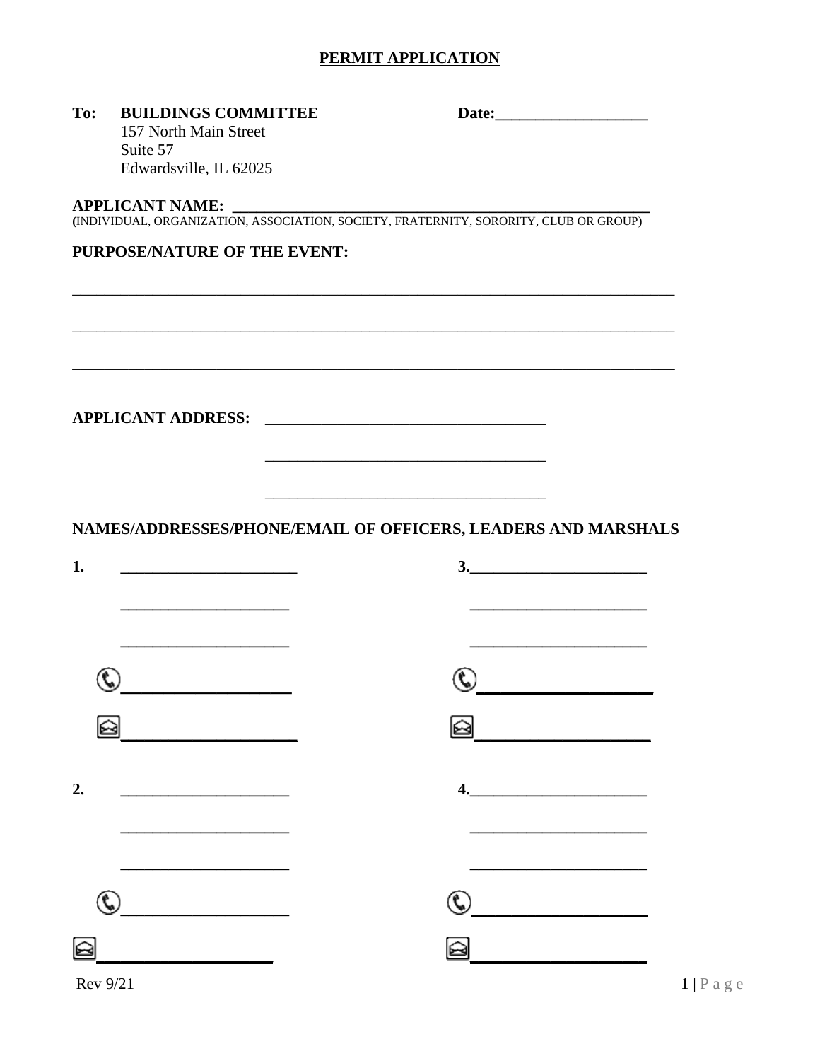## PERMIT APPLICATION

#### **BUILDINGS COMMITTEE** To:

157 North Main Street Suite 57 Edwardsville, IL 62025

#### **APPLICANT NAME:**

(INDIVIDUAL, ORGANIZATION, ASSOCIATION, SOCIETY, FRATERNITY, SORORITY, CLUB OR GROUP)

### **PURPOSE/NATURE OF THE EVENT:**

NAMES/ADDRESSES/PHONE/EMAIL OF OFFICERS, LEADERS AND MARSHALS

APPLICANT ADDRESS: North American Section 1997

| 1.                                                    | 3.         |
|-------------------------------------------------------|------------|
|                                                       |            |
|                                                       |            |
| $\mathbb{Q}$                                          | $\bigcirc$ |
| ଛା                                                    |            |
| 2.                                                    | 4.         |
|                                                       |            |
| $\mathbb{Q}$<br><u> 1980 - Jan Barbara III, martx</u> | $\odot$    |
|                                                       |            |